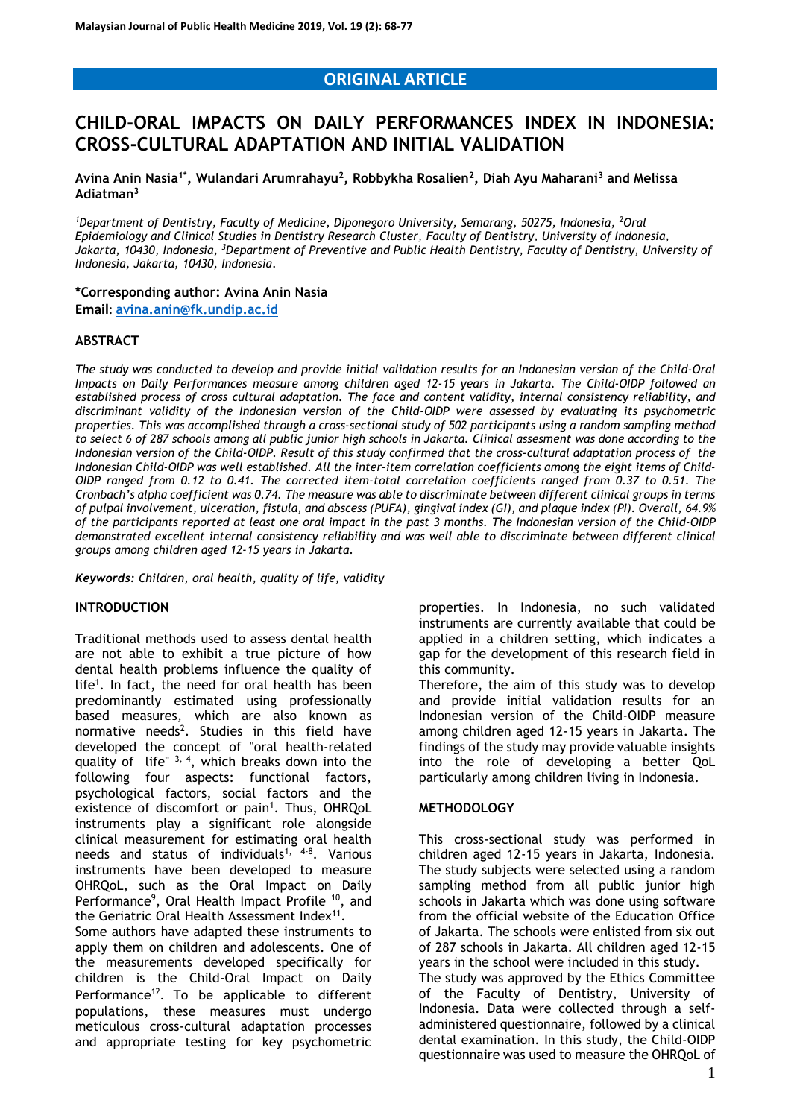## **ORIGINAL ARTICLE**

# **CHILD-ORAL IMPACTS ON DAILY PERFORMANCES INDEX IN INDONESIA: CROSS-CULTURAL ADAPTATION AND INITIAL VALIDATION**

**Avina Anin Nasia1\* , Wulandari Arumrahayu<sup>2</sup> , Robbykha Rosalien<sup>2</sup> , Diah Ayu Maharani<sup>3</sup> and Melissa Adiatman<sup>3</sup>**

<sup>1</sup>Department of Dentistry, Faculty of Medicine, Diponegoro University, Semarang, 50275, Indonesia, <sup>2</sup>Oral *Epidemiology and Clinical Studies in Dentistry Research Cluster, Faculty of Dentistry, University of Indonesia, Jakarta, 10430, Indonesia, <sup>3</sup>Department of Preventive and Public Health Dentistry, Faculty of Dentistry, University of Indonesia, Jakarta, 10430, Indonesia.*

#### **\*Corresponding author: Avina Anin Nasia**

**Email**: **[avina.anin@fk.undip.ac.id](mailto:avina.anin@fk.undip.ac.id)**

#### **ABSTRACT**

*The study was conducted to develop and provide initial validation results for an Indonesian version of the Child-Oral Impacts on Daily Performances measure among children aged 12-15 years in Jakarta. The Child-OIDP followed an established process of cross cultural adaptation. The face and content validity, internal consistency reliability, and discriminant validity of the Indonesian version of the Child-OIDP were assessed by evaluating its psychometric properties. This was accomplished through a cross-sectional study of 502 participants using a random sampling method to select 6 of 287 schools among all public junior high schools in Jakarta. Clinical assesment was done according to the Indonesian version of the Child-OIDP. Result of this study confirmed that the cross-cultural adaptation process of the Indonesian Child-OIDP was well established. All the inter-item correlation coefficients among the eight items of Child-OIDP ranged from 0.12 to 0.41. The corrected item-total correlation coefficients ranged from 0.37 to 0.51. The Cronbach's alpha coefficient was 0.74. The measure was able to discriminate between different clinical groups in terms of pulpal involvement, ulceration, fistula, and abscess (PUFA), gingival index (GI), and plaque index (PI). Overall, 64.9% of the participants reported at least one oral impact in the past 3 months. The Indonesian version of the Child-OIDP demonstrated excellent internal consistency reliability and was well able to discriminate between different clinical groups among children aged 12-15 years in Jakarta.*

*Keywords: Children, oral health, quality of life, validity*

#### **INTRODUCTION**

Traditional methods used to assess dental health are not able to exhibit a true picture of how dental health problems influence the quality of life<sup>1</sup>. In fact, the need for oral health has been predominantly estimated using professionally based measures, which are also known as normative needs<sup>2</sup>. Studies in this field have developed the concept of "oral health-related quality of life"  $3, 4$ , which breaks down into the following four aspects: functional factors, psychological factors, social factors and the existence of discomfort or pain<sup>1</sup>. Thus, OHRQoL instruments play a significant role alongside clinical measurement for estimating oral health needs and status of individuals<sup>1, 4-8</sup>. Various instruments have been developed to measure OHRQoL, such as the Oral Impact on Daily Performance<sup>9</sup>, Oral Health Impact Profile <sup>10</sup>, and the Geriatric Oral Health Assessment Index<sup>11</sup>.

Some authors have adapted these instruments to apply them on children and adolescents. One of the measurements developed specifically for children is the Child-Oral Impact on Daily Performance<sup>12</sup>. To be applicable to different populations, these measures must undergo meticulous cross-cultural adaptation processes and appropriate testing for key psychometric properties. In Indonesia, no such validated instruments are currently available that could be applied in a children setting, which indicates a gap for the development of this research field in this community.

Therefore, the aim of this study was to develop and provide initial validation results for an Indonesian version of the Child-OIDP measure among children aged 12-15 years in Jakarta. The findings of the study may provide valuable insights into the role of developing a better QoL particularly among children living in Indonesia.

#### **METHODOLOGY**

This cross-sectional study was performed in children aged 12-15 years in Jakarta, Indonesia. The study subjects were selected using a random sampling method from all public junior high schools in Jakarta which was done using software from the official website of the Education Office of Jakarta. The schools were enlisted from six out of 287 schools in Jakarta. All children aged 12-15 years in the school were included in this study. The study was approved by the Ethics Committee

of the Faculty of Dentistry, University of Indonesia. Data were collected through a selfadministered questionnaire, followed by a clinical dental examination. In this study, the Child-OIDP questionnaire was used to measure the OHRQoL of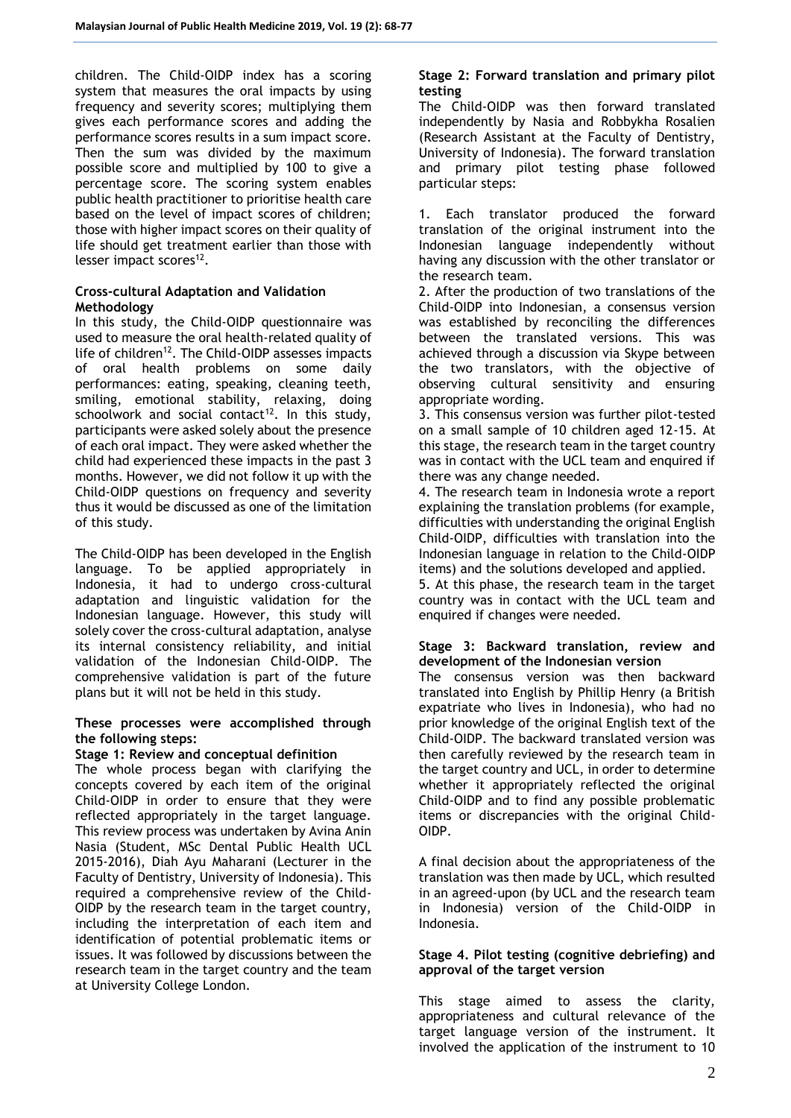children. The Child-OIDP index has a scoring system that measures the oral impacts by using frequency and severity scores; multiplying them gives each performance scores and adding the performance scores results in a sum impact score. Then the sum was divided by the maximum possible score and multiplied by 100 to give a percentage score. The scoring system enables public health practitioner to prioritise health care based on the level of impact scores of children; those with higher impact scores on their quality of life should get treatment earlier than those with lesser impact scores $^{12}$ .

### **Cross-cultural Adaptation and Validation Methodology**

In this study, the Child-OIDP questionnaire was used to measure the oral health-related quality of life of children<sup>12</sup>. The Child-OIDP assesses impacts of oral health problems on some daily performances: eating, speaking, cleaning teeth, smiling, emotional stability, relaxing, doing schoolwork and social contact<sup>12</sup>. In this study, participants were asked solely about the presence of each oral impact. They were asked whether the child had experienced these impacts in the past 3 months. However, we did not follow it up with the Child-OIDP questions on frequency and severity thus it would be discussed as one of the limitation of this study.

The Child-OIDP has been developed in the English language. To be applied appropriately in Indonesia, it had to undergo cross-cultural adaptation and linguistic validation for the Indonesian language. However, this study will solely cover the cross-cultural adaptation, analyse its internal consistency reliability, and initial validation of the Indonesian Child-OIDP. The comprehensive validation is part of the future plans but it will not be held in this study.

### **These processes were accomplished through the following steps:**

## **Stage 1: Review and conceptual definition**

The whole process began with clarifying the concepts covered by each item of the original Child-OIDP in order to ensure that they were reflected appropriately in the target language. This review process was undertaken by Avina Anin Nasia (Student, MSc Dental Public Health UCL 2015-2016), Diah Ayu Maharani (Lecturer in the Faculty of Dentistry, University of Indonesia). This required a comprehensive review of the Child-OIDP by the research team in the target country, including the interpretation of each item and identification of potential problematic items or issues. It was followed by discussions between the research team in the target country and the team at University College London.

## **Stage 2: Forward translation and primary pilot testing**

The Child-OIDP was then forward translated independently by Nasia and Robbykha Rosalien (Research Assistant at the Faculty of Dentistry, University of Indonesia). The forward translation and primary pilot testing phase followed particular steps:

1. Each translator produced the forward translation of the original instrument into the Indonesian language independently without having any discussion with the other translator or the research team.

2. After the production of two translations of the Child-OIDP into Indonesian, a consensus version was established by reconciling the differences between the translated versions. This was achieved through a discussion via Skype between the two translators, with the objective of observing cultural sensitivity and ensuring appropriate wording.

3. This consensus version was further pilot-tested on a small sample of 10 children aged 12-15. At this stage, the research team in the target country was in contact with the UCL team and enquired if there was any change needed.

4. The research team in Indonesia wrote a report explaining the translation problems (for example, difficulties with understanding the original English Child-OIDP, difficulties with translation into the Indonesian language in relation to the Child-OIDP items) and the solutions developed and applied.

5. At this phase, the research team in the target country was in contact with the UCL team and enquired if changes were needed.

## **Stage 3: Backward translation, review and development of the Indonesian version**

The consensus version was then backward translated into English by Phillip Henry (a British expatriate who lives in Indonesia), who had no prior knowledge of the original English text of the Child-OIDP. The backward translated version was then carefully reviewed by the research team in the target country and UCL, in order to determine whether it appropriately reflected the original Child-OIDP and to find any possible problematic items or discrepancies with the original Child-OIDP.

A final decision about the appropriateness of the translation was then made by UCL, which resulted in an agreed-upon (by UCL and the research team in Indonesia) version of the Child-OIDP in Indonesia.

## **Stage 4. Pilot testing (cognitive debriefing) and approval of the target version**

This stage aimed to assess the clarity, appropriateness and cultural relevance of the target language version of the instrument. It involved the application of the instrument to 10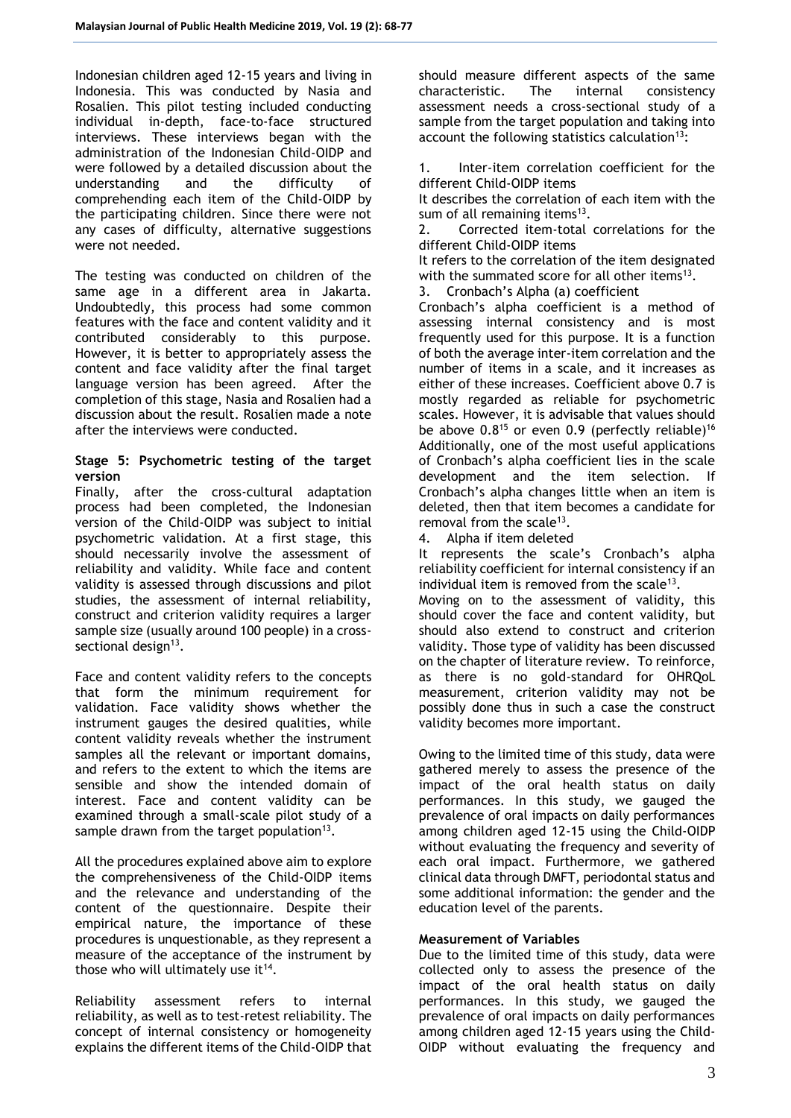Indonesian children aged 12-15 years and living in Indonesia. This was conducted by Nasia and Rosalien. This pilot testing included conducting individual in-depth, face-to-face structured interviews. These interviews began with the administration of the Indonesian Child-OIDP and were followed by a detailed discussion about the<br>understanding and the difficulty of understanding and the difficulty of comprehending each item of the Child-OIDP by the participating children. Since there were not any cases of difficulty, alternative suggestions were not needed.

The testing was conducted on children of the same age in a different area in Jakarta. Undoubtedly, this process had some common features with the face and content validity and it contributed considerably to this purpose. However, it is better to appropriately assess the content and face validity after the final target language version has been agreed. After the completion of this stage, Nasia and Rosalien had a discussion about the result. Rosalien made a note after the interviews were conducted.

### **Stage 5: Psychometric testing of the target version**

Finally, after the cross-cultural adaptation process had been completed, the Indonesian version of the Child-OIDP was subject to initial psychometric validation. At a first stage, this should necessarily involve the assessment of reliability and validity. While face and content validity is assessed through discussions and pilot studies, the assessment of internal reliability, construct and criterion validity requires a larger sample size (usually around 100 people) in a crosssectional design<sup>13</sup>.

Face and content validity refers to the concepts that form the minimum requirement for validation. Face validity shows whether the instrument gauges the desired qualities, while content validity reveals whether the instrument samples all the relevant or important domains, and refers to the extent to which the items are sensible and show the intended domain of interest. Face and content validity can be examined through a small-scale pilot study of a sample drawn from the target population<sup>13</sup>.

All the procedures explained above aim to explore the comprehensiveness of the Child-OIDP items and the relevance and understanding of the content of the questionnaire. Despite their empirical nature, the importance of these procedures is unquestionable, as they represent a measure of the acceptance of the instrument by those who will ultimately use it $14$ .

Reliability assessment refers to internal reliability, as well as to test-retest reliability. The concept of internal consistency or homogeneity explains the different items of the Child-OIDP that should measure different aspects of the same characteristic. The internal consistency assessment needs a cross-sectional study of a sample from the target population and taking into account the following statistics calculation $13$ :

1. Inter-item correlation coefficient for the different Child-OIDP items

It describes the correlation of each item with the sum of all remaining items $13$ .

2. Corrected item-total correlations for the different Child-OIDP items

It refers to the correlation of the item designated with the summated score for all other items<sup>13</sup>.

3. Cronbach's Alpha (a) coefficient

Cronbach's alpha coefficient is a method of assessing internal consistency and is most frequently used for this purpose. It is a function of both the average inter-item correlation and the number of items in a scale, and it increases as either of these increases. Coefficient above 0.7 is mostly regarded as reliable for psychometric scales. However, it is advisable that values should be above  $0.8^{15}$  or even 0.9 (perfectly reliable)<sup>16</sup> Additionally, one of the most useful applications of Cronbach's alpha coefficient lies in the scale development and the item selection. If Cronbach's alpha changes little when an item is deleted, then that item becomes a candidate for removal from the scale<sup>13</sup>.

4. Alpha if item deleted

It represents the scale's Cronbach's alpha reliability coefficient for internal consistency if an individual item is removed from the scale<sup>13</sup>.

Moving on to the assessment of validity, this should cover the face and content validity, but should also extend to construct and criterion validity. Those type of validity has been discussed on the chapter of literature review. To reinforce, as there is no gold-standard for OHRQoL measurement, criterion validity may not be possibly done thus in such a case the construct validity becomes more important.

Owing to the limited time of this study, data were gathered merely to assess the presence of the impact of the oral health status on daily performances. In this study, we gauged the prevalence of oral impacts on daily performances among children aged 12-15 using the Child-OIDP without evaluating the frequency and severity of each oral impact. Furthermore, we gathered clinical data through DMFT, periodontal status and some additional information: the gender and the education level of the parents.

## **Measurement of Variables**

Due to the limited time of this study, data were collected only to assess the presence of the impact of the oral health status on daily performances. In this study, we gauged the prevalence of oral impacts on daily performances among children aged 12-15 years using the Child-OIDP without evaluating the frequency and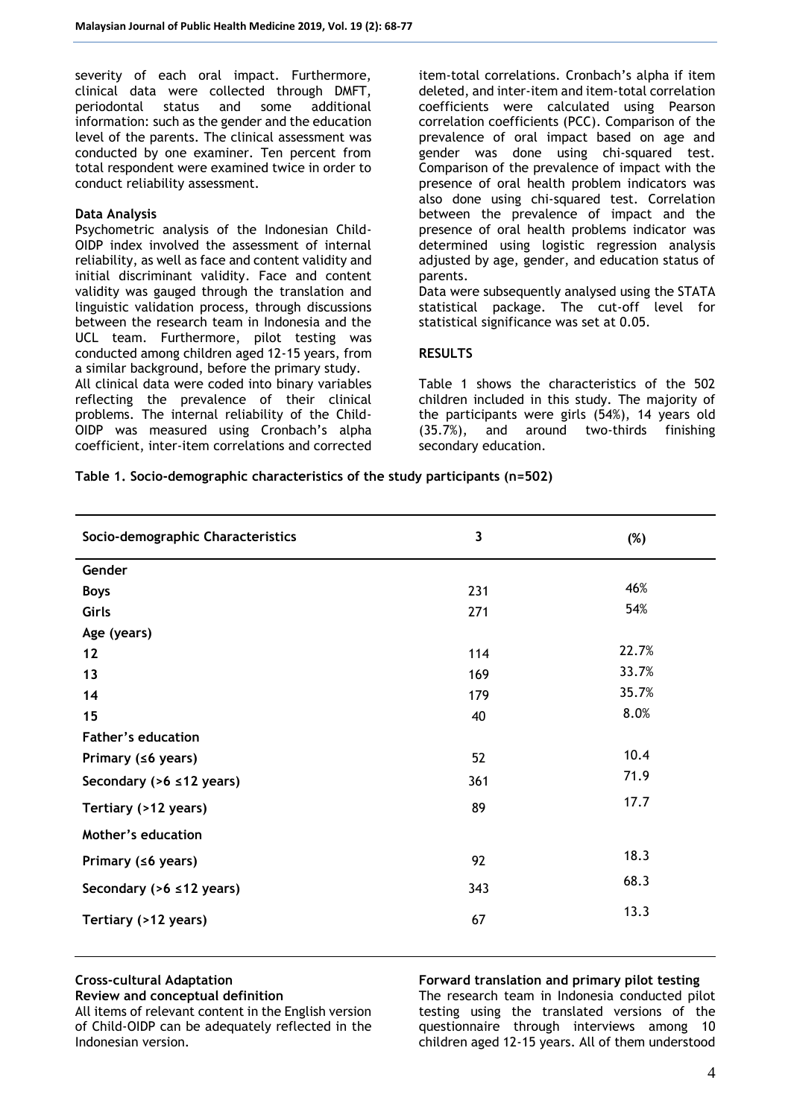severity of each oral impact. Furthermore, clinical data were collected through DMFT, periodontal status and some additional information: such as the gender and the education level of the parents. The clinical assessment was conducted by one examiner. Ten percent from total respondent were examined twice in order to conduct reliability assessment.

#### **Data Analysis**

Psychometric analysis of the Indonesian Child-OIDP index involved the assessment of internal reliability, as well as face and content validity and initial discriminant validity. Face and content validity was gauged through the translation and linguistic validation process, through discussions between the research team in Indonesia and the UCL team. Furthermore, pilot testing was conducted among children aged 12-15 years, from a similar background, before the primary study. All clinical data were coded into binary variables reflecting the prevalence of their clinical problems. The internal reliability of the Child-OIDP was measured using Cronbach's alpha coefficient, inter-item correlations and corrected

item-total correlations. Cronbach's alpha if item deleted, and inter-item and item-total correlation coefficients were calculated using Pearson correlation coefficients (PCC). Comparison of the prevalence of oral impact based on age and gender was done using chi-squared test. Comparison of the prevalence of impact with the presence of oral health problem indicators was also done using chi-squared test. Correlation between the prevalence of impact and the presence of oral health problems indicator was determined using logistic regression analysis adjusted by age, gender, and education status of parents.

Data were subsequently analysed using the STATA statistical package. The cut-off level for statistical significance was set at 0.05.

## **RESULTS**

Table 1 shows the characteristics of the 502 children included in this study. The majority of the participants were girls (54%), 14 years old (35.7%), and around two-thirds finishing secondary education.

**Table 1. Socio-demographic characteristics of the study participants (n=502)**

| Socio-demographic Characteristics | 3   | $(\%)$ |
|-----------------------------------|-----|--------|
| Gender                            |     |        |
| <b>Boys</b>                       | 231 | 46%    |
| Girls                             | 271 | 54%    |
| Age (years)                       |     |        |
| 12                                | 114 | 22.7%  |
| 13                                | 169 | 33.7%  |
| 14                                | 179 | 35.7%  |
| 15                                | 40  | 8.0%   |
| <b>Father's education</b>         |     |        |
| Primary (≤6 years)                | 52  | 10.4   |
| Secondary ( $>6 \le 12$ years)    | 361 | 71.9   |
| Tertiary (>12 years)              | 89  | 17.7   |
| Mother's education                |     |        |
| Primary ( $\leq 6$ years)         | 92  | 18.3   |
| Secondary ( $>6 \le 12$ years)    | 343 | 68.3   |
| Tertiary (>12 years)              | 67  | 13.3   |
|                                   |     |        |

## **Cross-cultural Adaptation**

**Review and conceptual definition**

All items of relevant content in the English version of Child-OIDP can be adequately reflected in the Indonesian version.

**Forward translation and primary pilot testing**  The research team in Indonesia conducted pilot testing using the translated versions of the questionnaire through interviews among 10 children aged 12-15 years. All of them understood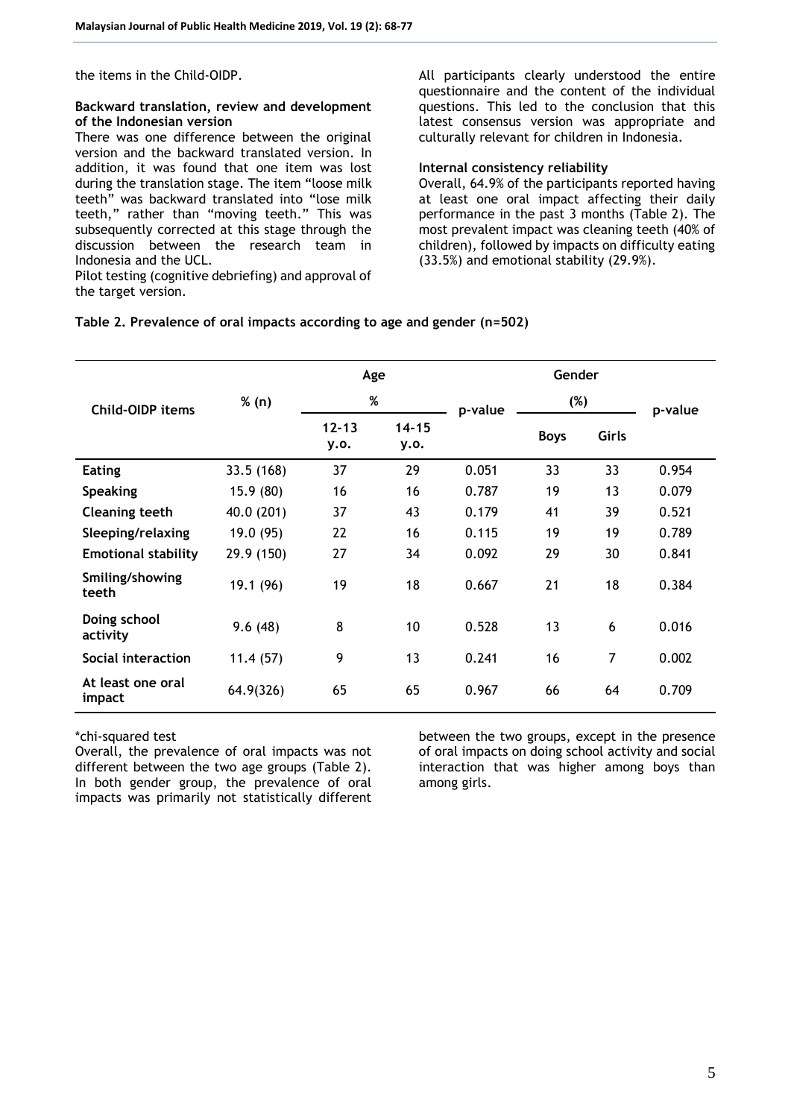the items in the Child-OIDP.

#### **Backward translation, review and development of the Indonesian version**

There was one difference between the original version and the backward translated version. In addition, it was found that one item was lost during the translation stage. The item "loose milk teeth" was backward translated into "lose milk teeth," rather than "moving teeth." This was subsequently corrected at this stage through the discussion between the research team in Indonesia and the UCL.

Pilot testing (cognitive debriefing) and approval of the target version.

All participants clearly understood the entire questionnaire and the content of the individual questions. This led to the conclusion that this latest consensus version was appropriate and culturally relevant for children in Indonesia.

#### **Internal consistency reliability**

Overall, 64.9% of the participants reported having at least one oral impact affecting their daily performance in the past 3 months (Table 2). The most prevalent impact was cleaning teeth (40% of children), followed by impacts on difficulty eating (33.5%) and emotional stability (29.9%).

## **Table 2. Prevalence of oral impacts according to age and gender (n=502)**

|                             |            | Age               |                   | Gender  |             |                |         |
|-----------------------------|------------|-------------------|-------------------|---------|-------------|----------------|---------|
| Child-OIDP items            | % (n)      | %                 |                   | p-value | (%)         |                | p-value |
|                             |            | $12 - 13$<br>y.o. | $14 - 15$<br>y.o. |         | <b>Boys</b> | Girls          |         |
| <b>Eating</b>               | 33.5(168)  | 37                | 29                | 0.051   | 33          | 33             | 0.954   |
| <b>Speaking</b>             | 15.9(80)   | 16                | 16                | 0.787   | 19          | 13             | 0.079   |
| <b>Cleaning teeth</b>       | 40.0 (201) | 37                | 43                | 0.179   | 41          | 39             | 0.521   |
| Sleeping/relaxing           | 19.0 (95)  | 22                | 16                | 0.115   | 19          | 19             | 0.789   |
| <b>Emotional stability</b>  | 29.9 (150) | 27                | 34                | 0.092   | 29          | 30             | 0.841   |
| Smiling/showing<br>teeth    | 19.1 (96)  | 19                | 18                | 0.667   | 21          | 18             | 0.384   |
| Doing school<br>activity    | 9.6(48)    | 8                 | 10                | 0.528   | 13          | 6              | 0.016   |
| Social interaction          | 11.4(57)   | 9                 | 13                | 0.241   | 16          | $\overline{7}$ | 0.002   |
| At least one oral<br>impact | 64.9(326)  | 65                | 65                | 0.967   | 66          | 64             | 0.709   |

\*chi-squared test

Overall, the prevalence of oral impacts was not different between the two age groups (Table 2). In both gender group, the prevalence of oral impacts was primarily not statistically different

between the two groups, except in the presence of oral impacts on doing school activity and social interaction that was higher among boys than among girls.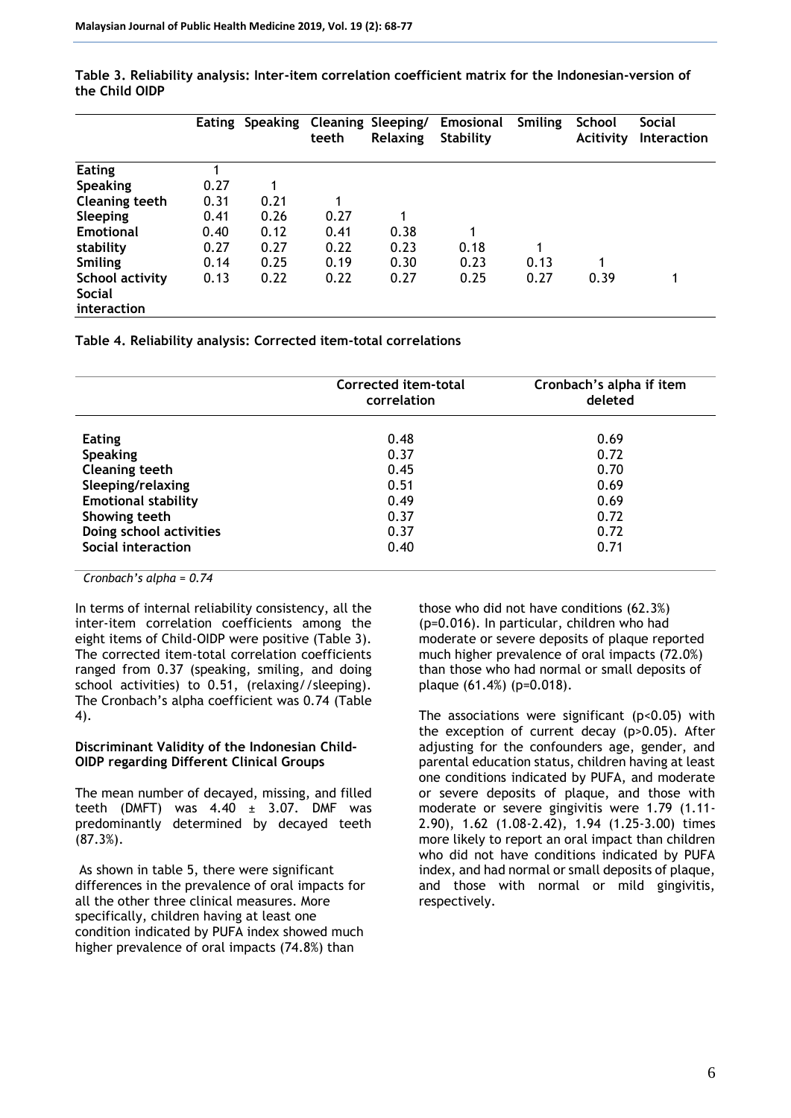|                              |      | Eating Speaking Cleaning Sleeping/ | teeth | <b>Relaxing</b> | <b>Emosional</b><br><b>Stability</b> | Smiling | School<br>Acitivity | <b>Social</b><br><b>Interaction</b> |
|------------------------------|------|------------------------------------|-------|-----------------|--------------------------------------|---------|---------------------|-------------------------------------|
| <b>Eating</b>                |      |                                    |       |                 |                                      |         |                     |                                     |
| <b>Speaking</b>              | 0.27 |                                    |       |                 |                                      |         |                     |                                     |
| Cleaning teeth               | 0.31 | 0.21                               |       |                 |                                      |         |                     |                                     |
| Sleeping                     | 0.41 | 0.26                               | 0.27  | 1               |                                      |         |                     |                                     |
| <b>Emotional</b>             | 0.40 | 0.12                               | 0.41  | 0.38            | 1                                    |         |                     |                                     |
| stability                    | 0.27 | 0.27                               | 0.22  | 0.23            | 0.18                                 | 1       |                     |                                     |
| <b>Smiling</b>               | 0.14 | 0.25                               | 0.19  | 0.30            | 0.23                                 | 0.13    |                     |                                     |
| School activity              | 0.13 | 0.22                               | 0.22  | 0.27            | 0.25                                 | 0.27    | 0.39                |                                     |
| <b>Social</b><br>interaction |      |                                    |       |                 |                                      |         |                     |                                     |

**Table 3. Reliability analysis: Inter-item correlation coefficient matrix for the Indonesian-version of the Child OIDP**

**Table 4. Reliability analysis: Corrected item-total correlations**

|                            | Corrected item-total<br>correlation | Cronbach's alpha if item<br>deleted |  |  |
|----------------------------|-------------------------------------|-------------------------------------|--|--|
| <b>Eating</b>              | 0.48                                | 0.69                                |  |  |
| <b>Speaking</b>            | 0.37                                | 0.72                                |  |  |
| <b>Cleaning teeth</b>      | 0.45                                | 0.70                                |  |  |
| Sleeping/relaxing          | 0.51                                | 0.69                                |  |  |
| <b>Emotional stability</b> | 0.49                                | 0.69                                |  |  |
| Showing teeth              | 0.37                                | 0.72                                |  |  |
| Doing school activities    | 0.37                                | 0.72                                |  |  |
| Social interaction         | 0.40                                | 0.71                                |  |  |

*Cronbach's alpha = 0.74*

In terms of internal reliability consistency, all the inter-item correlation coefficients among the eight items of Child-OIDP were positive (Table 3). The corrected item-total correlation coefficients ranged from 0.37 (speaking, smiling, and doing school activities) to 0.51, (relaxing//sleeping). The Cronbach's alpha coefficient was 0.74 (Table 4).

#### **Discriminant Validity of the Indonesian Child-OIDP regarding Different Clinical Groups**

The mean number of decayed, missing, and filled teeth (DMFT) was  $4.40 \pm 3.07$ . DMF was predominantly determined by decayed teeth (87.3%).

As shown in table 5, there were significant differences in the prevalence of oral impacts for all the other three clinical measures. More specifically, children having at least one condition indicated by PUFA index showed much higher prevalence of oral impacts (74.8%) than

those who did not have conditions (62.3%) (p=0.016). In particular, children who had moderate or severe deposits of plaque reported much higher prevalence of oral impacts (72.0%) than those who had normal or small deposits of plaque (61.4%) (p=0.018).

The associations were significant ( $p$ <0.05) with the exception of current decay (p>0.05). After adjusting for the confounders age, gender, and parental education status, children having at least one conditions indicated by PUFA, and moderate or severe deposits of plaque, and those with moderate or severe gingivitis were 1.79 (1.11- 2.90), 1.62 (1.08-2.42), 1.94 (1.25-3.00) times more likely to report an oral impact than children who did not have conditions indicated by PUFA index, and had normal or small deposits of plaque, and those with normal or mild gingivitis, respectively.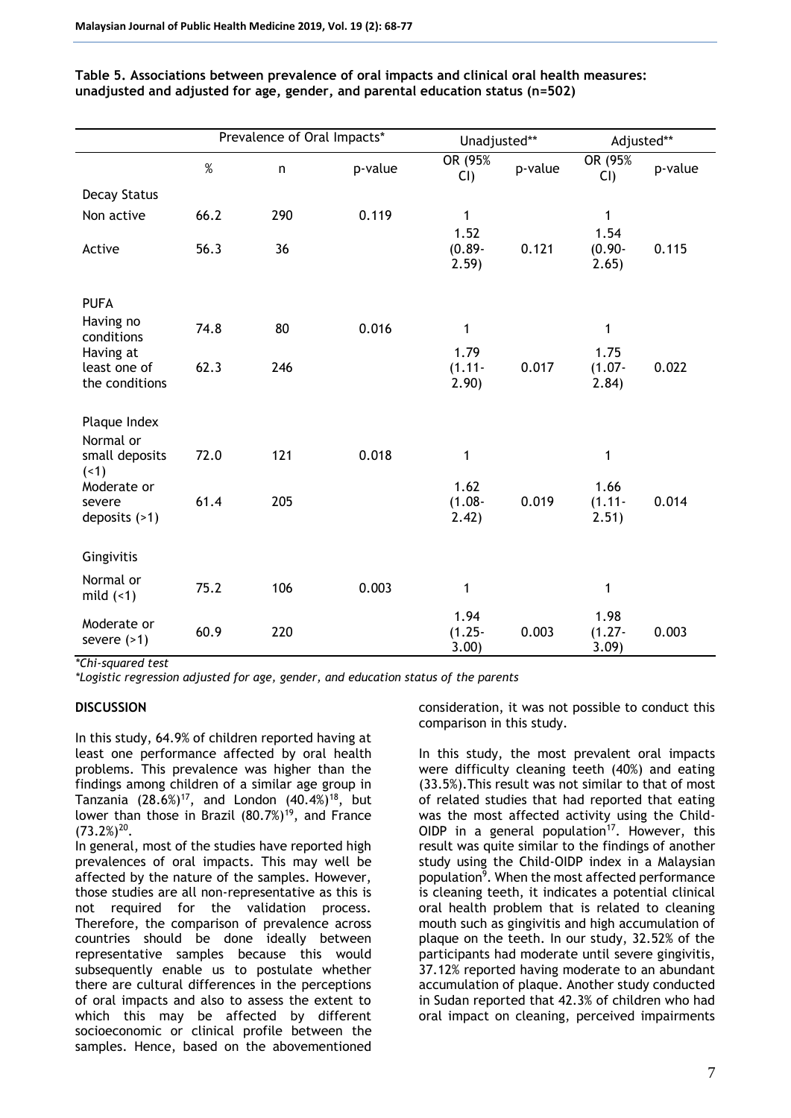|                                             | Prevalence of Oral Impacts* |     |         | Unadjusted**               |         | Adjusted**                 |         |
|---------------------------------------------|-----------------------------|-----|---------|----------------------------|---------|----------------------------|---------|
|                                             | $\%$                        | n   | p-value | OR (95%<br>$CI$ )          | p-value | OR (95%)<br>CI             | p-value |
| <b>Decay Status</b>                         |                             |     |         |                            |         |                            |         |
| Non active                                  | 66.2                        | 290 | 0.119   | $\mathbf{1}$               |         | 1                          |         |
| Active                                      | 56.3                        | 36  |         | 1.52<br>$(0.89 -$<br>2.59) | 0.121   | 1.54<br>$(0.90 -$<br>2.65) | 0.115   |
| <b>PUFA</b>                                 |                             |     |         |                            |         |                            |         |
| Having no<br>conditions                     | 74.8                        | 80  | 0.016   | 1                          |         | 1                          |         |
| Having at<br>least one of<br>the conditions | 62.3                        | 246 |         | 1.79<br>$(1.11 -$<br>2.90) | 0.017   | 1.75<br>$(1.07 -$<br>2.84) | 0.022   |
| Plaque Index                                |                             |     |         |                            |         |                            |         |
| Normal or<br>small deposits<br>(1)          | 72.0                        | 121 | 0.018   | 1                          |         | 1                          |         |
| Moderate or<br>severe<br>deposits $($ >1)   | 61.4                        | 205 |         | 1.62<br>$(1.08 -$<br>2.42) | 0.019   | 1.66<br>$(1.11 -$<br>2.51) | 0.014   |
| Gingivitis                                  |                             |     |         |                            |         |                            |         |
| Normal or<br>mild $($ 4)                    | 75.2                        | 106 | 0.003   | 1                          |         | 1                          |         |
| Moderate or<br>severe $($ >1)               | 60.9                        | 220 |         | 1.94<br>$(1.25 -$<br>3.00) | 0.003   | 1.98<br>$(1.27 -$<br>3.09  | 0.003   |

**Table 5. Associations between prevalence of oral impacts and clinical oral health measures: unadjusted and adjusted for age, gender, and parental education status (n=502)**

*\*Chi-squared test*

*\*Logistic regression adjusted for age, gender, and education status of the parents*

## **DISCUSSION**

In this study, 64.9% of children reported having at least one performance affected by oral health problems. This prevalence was higher than the findings among children of a similar age group in Tanzania  $(28.6\%)^{17}$ , and London  $(40.4\%)^{18}$ , but lower than those in Brazil  $(80.7\%)^{19}$ , and France  $(73.2\%)^{20}$ .

In general, most of the studies have reported high prevalences of oral impacts. This may well be affected by the nature of the samples. However, those studies are all non-representative as this is not required for the validation process. Therefore, the comparison of prevalence across countries should be done ideally between representative samples because this would subsequently enable us to postulate whether there are cultural differences in the perceptions of oral impacts and also to assess the extent to which this may be affected by different socioeconomic or clinical profile between the samples. Hence, based on the abovementioned

consideration, it was not possible to conduct this comparison in this study.

In this study, the most prevalent oral impacts were difficulty cleaning teeth (40%) and eating (33.5%).This result was not similar to that of most of related studies that had reported that eating was the most affected activity using the Child-OIDP in a general population<sup>17</sup>. However, this result was quite similar to the findings of another study using the Child-OIDP index in a Malaysian population<sup>9</sup>. When the most affected performance is cleaning teeth, it indicates a potential clinical oral health problem that is related to cleaning mouth such as gingivitis and high accumulation of plaque on the teeth. In our study, 32.52% of the participants had moderate until severe gingivitis, 37.12% reported having moderate to an abundant accumulation of plaque. Another study conducted in Sudan reported that 42.3% of children who had oral impact on cleaning, perceived impairments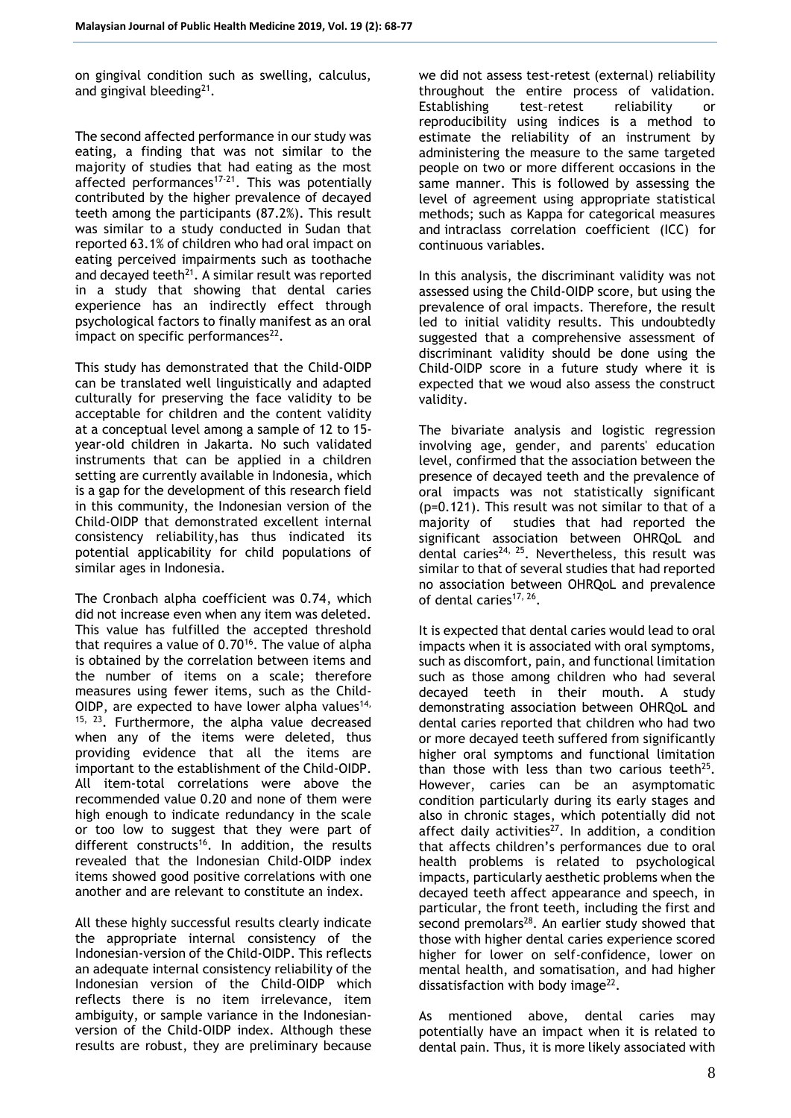on gingival condition such as swelling, calculus, and gingival bleeding<sup>21</sup>.

The second affected performance in our study was eating, a finding that was not similar to the majority of studies that had eating as the most affected performances<sup>17-21</sup>. This was potentially contributed by the higher prevalence of decayed teeth among the participants (87.2%). This result was similar to a study conducted in Sudan that reported 63.1% of children who had oral impact on eating perceived impairments such as toothache and decayed teeth $21$ . A similar result was reported in a study that showing that dental caries experience has an indirectly effect through psychological factors to finally manifest as an oral impact on specific performances $^{22}$ .

This study has demonstrated that the Child-OIDP can be translated well linguistically and adapted culturally for preserving the face validity to be acceptable for children and the content validity at a conceptual level among a sample of 12 to 15 year-old children in Jakarta. No such validated instruments that can be applied in a children setting are currently available in Indonesia, which is a gap for the development of this research field in this community, the Indonesian version of the Child-OIDP that demonstrated excellent internal consistency reliability,has thus indicated its potential applicability for child populations of similar ages in Indonesia.

The Cronbach alpha coefficient was 0.74, which did not increase even when any item was deleted. This value has fulfilled the accepted threshold that requires a value of 0.70<sup>16</sup>. The value of alpha is obtained by the correlation between items and the number of items on a scale; therefore measures using fewer items, such as the Child-OIDP, are expected to have lower alpha values<sup>14,</sup>  $15, 23$ . Furthermore, the alpha value decreased when any of the items were deleted, thus providing evidence that all the items are important to the establishment of the Child-OIDP. All item-total correlations were above the recommended value 0.20 and none of them were high enough to indicate redundancy in the scale or too low to suggest that they were part of different constructs<sup>16</sup>. In addition, the results revealed that the Indonesian Child-OIDP index items showed good positive correlations with one another and are relevant to constitute an index.

All these highly successful results clearly indicate the appropriate internal consistency of the Indonesian-version of the Child-OIDP. This reflects an adequate internal consistency reliability of the Indonesian version of the Child-OIDP which reflects there is no item irrelevance, item ambiguity, or sample variance in the Indonesianversion of the Child-OIDP index. Although these results are robust, they are preliminary because

we did not assess test-retest (external) reliability throughout the entire process of validation. Establishing test–retest reliability or reproducibility using indices is a method to estimate the reliability of an instrument by administering the measure to the same targeted people on two or more different occasions in the same manner. This is followed by assessing the level of agreement using appropriate statistical methods; such as Kappa for categorical measures and intraclass correlation coefficient (ICC) for continuous variables.

In this analysis, the discriminant validity was not assessed using the Child-OIDP score, but using the prevalence of oral impacts. Therefore, the result led to initial validity results. This undoubtedly suggested that a comprehensive assessment of discriminant validity should be done using the Child-OIDP score in a future study where it is expected that we woud also assess the construct validity.

The bivariate analysis and logistic regression involving age, gender, and parents' education level, confirmed that the association between the presence of decayed teeth and the prevalence of oral impacts was not statistically significant (p=0.121). This result was not similar to that of a majority of studies that had reported the significant association between OHRQoL and dental caries<sup>24, 25</sup>. Nevertheless, this result was similar to that of several studies that had reported no association between OHRQoL and prevalence of dental caries<sup>17, 26</sup>.

It is expected that dental caries would lead to oral impacts when it is associated with oral symptoms, such as discomfort, pain, and functional limitation such as those among children who had several decayed teeth in their mouth. A study demonstrating association between OHRQoL and dental caries reported that children who had two or more decayed teeth suffered from significantly higher oral symptoms and functional limitation than those with less than two carious teeth $25$ . However, caries can be an asymptomatic condition particularly during its early stages and also in chronic stages, which potentially did not affect daily activities $^{27}$ . In addition, a condition that affects children's performances due to oral health problems is related to psychological impacts, particularly aesthetic problems when the decayed teeth affect appearance and speech, in particular, the front teeth, including the first and second premolars $28$ . An earlier study showed that those with higher dental caries experience scored higher for lower on self-confidence, lower on mental health, and somatisation, and had higher dissatisfaction with body image $^{22}$ .

As mentioned above, dental caries may potentially have an impact when it is related to dental pain. Thus, it is more likely associated with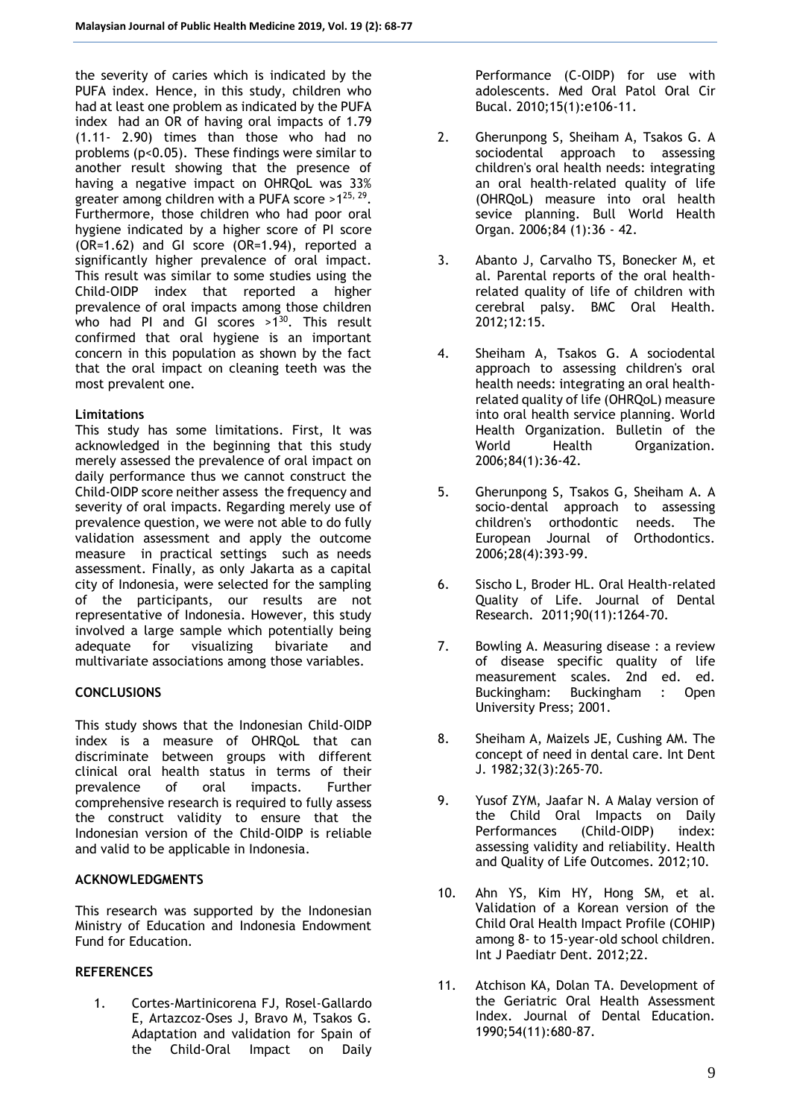the severity of caries which is indicated by the PUFA index. Hence, in this study, children who had at least one problem as indicated by the PUFA index had an OR of having oral impacts of 1.79 (1.11- 2.90) times than those who had no problems (p<0.05). These findings were similar to another result showing that the presence of having a negative impact on OHROoL was 33% greater among children with a PUFA score > $1^{25, 29}$ . Furthermore, those children who had poor oral hygiene indicated by a higher score of PI score (OR=1.62) and GI score (OR=1.94), reported a significantly higher prevalence of oral impact. This result was similar to some studies using the Child-OIDP index that reported a higher prevalence of oral impacts among those children who had PI and GI scores  $>1^{30}$ . This result confirmed that oral hygiene is an important concern in this population as shown by the fact that the oral impact on cleaning teeth was the most prevalent one.

## **Limitations**

This study has some limitations. First, It was acknowledged in the beginning that this study merely assessed the prevalence of oral impact on daily performance thus we cannot construct the Child-OIDP score neither assess the frequency and severity of oral impacts. Regarding merely use of prevalence question, we were not able to do fully validation assessment and apply the outcome measure in practical settings such as needs assessment. Finally, as only Jakarta as a capital city of Indonesia, were selected for the sampling of the participants, our results are not representative of Indonesia. However, this study involved a large sample which potentially being adequate for visualizing bivariate and multivariate associations among those variables.

## **CONCLUSIONS**

This study shows that the Indonesian Child-OIDP index is a measure of OHRQoL that can discriminate between groups with different clinical oral health status in terms of their prevalence of oral impacts. Further comprehensive research is required to fully assess the construct validity to ensure that the Indonesian version of the Child-OIDP is reliable and valid to be applicable in Indonesia.

## **ACKNOWLEDGMENTS**

This research was supported by the Indonesian Ministry of Education and Indonesia Endowment Fund for Education.

## **REFERENCES**

1. Cortes-Martinicorena FJ, Rosel-Gallardo E, Artazcoz-Oses J, Bravo M, Tsakos G. Adaptation and validation for Spain of the Child-Oral Impact on Daily Performance (C-OIDP) for use with adolescents. Med Oral Patol Oral Cir Bucal. 2010;15(1):e106-11.

- 2. Gherunpong S, Sheiham A, Tsakos G. A sociodental approach to assessing children's oral health needs: integrating an oral health-related quality of life (OHRQoL) measure into oral health sevice planning. Bull World Health Organ. 2006;84 (1):36 - 42.
- 3. Abanto J, Carvalho TS, Bonecker M, et al. Parental reports of the oral healthrelated quality of life of children with cerebral palsy. BMC Oral Health. 2012;12:15.
- 4. Sheiham A, Tsakos G. A sociodental approach to assessing children's oral health needs: integrating an oral healthrelated quality of life (OHRQoL) measure into oral health service planning. World Health Organization. Bulletin of the World Health Organization. 2006;84(1):36-42.
- 5. Gherunpong S, Tsakos G, Sheiham A. A socio-dental approach to assessing children's orthodontic needs. The<br>European Journal of Orthodontics. European Journal of 2006;28(4):393-99.
- 6. Sischo L, Broder HL. Oral Health-related Quality of Life. Journal of Dental Research. 2011;90(11):1264-70.
- 7. Bowling A. Measuring disease : a review of disease specific quality of life measurement scales. 2nd ed. ed. Buckingham: Buckingham : Open University Press; 2001.
- 8. Sheiham A, Maizels JE, Cushing AM. The concept of need in dental care. Int Dent J. 1982;32(3):265-70.
- 9. Yusof ZYM, Jaafar N. A Malay version of the Child Oral Impacts on Daily Performances (Child-OIDP) index: assessing validity and reliability. Health and Quality of Life Outcomes. 2012;10.
- 10. Ahn YS, Kim HY, Hong SM, et al. Validation of a Korean version of the Child Oral Health Impact Profile (COHIP) among 8- to 15-year-old school children. Int J Paediatr Dent. 2012;22.
- 11. Atchison KA, Dolan TA. Development of the Geriatric Oral Health Assessment Index. Journal of Dental Education. 1990;54(11):680-87.